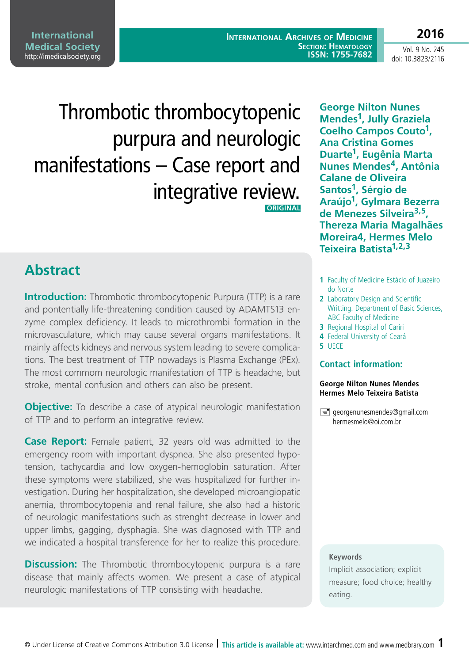**International Archives of Medicine Section: Hematology ISSN: 1755-7682**

Vol. 9 No. 245 doi: 10.3823/2116

**2016**

# Thrombotic thrombocytopenic purpura and neurologic manifestations – Case report and integrative review.  **ORIGINAL**

**Abstract**

**Introduction:** Thrombotic thrombocytopenic Purpura (TTP) is a rare and pontentially life-threatening condition caused by ADAMTS13 enzyme complex deficiency. It leads to microthrombi formation in the microvasculature, which may cause several organs manifestations. It mainly affects kidneys and nervous system leading to severe complications. The best treatment of TTP nowadays is Plasma Exchange (PEx). The most commom neurologic manifestation of TTP is headache, but stroke, mental confusion and others can also be present.

**Objective:** To describe a case of atypical neurologic manifestation of TTP and to perform an integrative review.

**Case Report:** Female patient, 32 years old was admitted to the emergency room with important dyspnea. She also presented hypotension, tachycardia and low oxygen-hemoglobin saturation. After these symptoms were stabilized, she was hospitalized for further investigation. During her hospitalization, she developed microangiopatic anemia, thrombocytopenia and renal failure, she also had a historic of neurologic manifestations such as strenght decrease in lower and upper limbs, gagging, dysphagia. She was diagnosed with TTP and we indicated a hospital transference for her to realize this procedure.

**Discussion:** The Thrombotic thrombocytopenic purpura is a rare disease that mainly affects women. We present a case of atypical neurologic manifestations of TTP consisting with headache.

**George Nilton Nunes Mendes1, Jully Graziela Coelho Campos Couto1, Ana Cristina Gomes Duarte1, Eugênia Marta Nunes Mendes4, Antônia Calane de Oliveira Santos1, Sérgio de Araújo1, Gylmara Bezerra de Menezes Silveira3,5, Thereza Maria Magalhães Moreira4, Hermes Melo Teixeira Batista1,2,3**

- **1** Faculty of Medicine Estácio of Juazeiro do Norte
- **2** Laboratory Design and Scientific Writting. Department of Basic Sciences, ABC Faculty of Medicine
- **3** Regional Hospital of Cariri
- **4** Federal University of Ceará
- **5** UECE

### **Contact information:**

#### **George Nilton Nunes Mendes Hermes Melo Teixeira Batista**

 $\equiv$  [georgenunesmendes@gmail.com](mailto:georgenunesmendes@gmail.com) [hermesmelo@oi.com.br](mailto:hermesmelo@oi.com.br)

#### **Keywords**

Implicit association; explicit measure; food choice; healthy eating.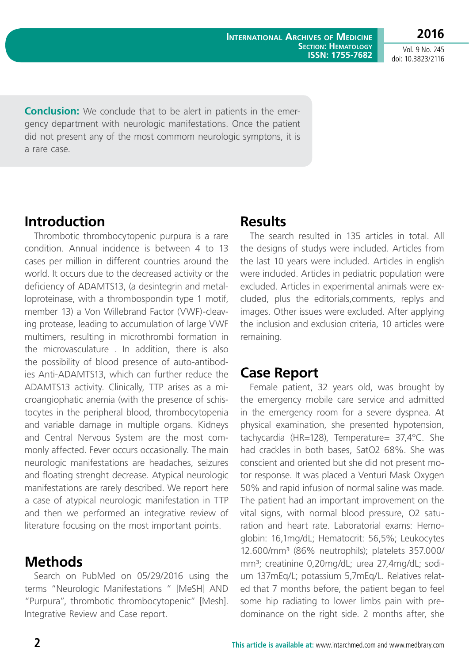**2016** Vol. 9 No. 245

doi: 10.3823/2116

**Conclusion:** We conclude that to be alert in patients in the emergency department with neurologic manifestations. Once the patient did not present any of the most commom neurologic symptons, it is a rare case.

# **Introduction**

Thrombotic thrombocytopenic purpura is a rare condition. Annual incidence is between 4 to 13 cases per million in different countries around the world. It occurs due to the decreased activity or the deficiency of ADAMTS13, (a desintegrin and metalloproteinase, with a thrombospondin type 1 motif, member 13) a Von Willebrand Factor (VWF)-cleaving protease, leading to accumulation of large VWF multimers, resulting in microthrombi formation in the microvasculature . In addition, there is also the possibility of blood presence of auto-antibodies Anti-ADAMTS13, which can further reduce the ADAMTS13 activity. Clinically, TTP arises as a microangiophatic anemia (with the presence of schistocytes in the peripheral blood, thrombocytopenia and variable damage in multiple organs. Kidneys and Central Nervous System are the most commonly affected. Fever occurs occasionally. The main neurologic manifestations are headaches, seizures and floating strenght decrease. Atypical neurologic manifestations are rarely described. We report here a case of atypical neurologic manifestation in TTP and then we performed an integrative review of literature focusing on the most important points.

# **Methods**

Search on PubMed on 05/29/2016 using the terms "Neurologic Manifestations " [MeSH] AND "Purpura", thrombotic thrombocytopenic" [Mesh]. Integrative Review and Case report.

### **Results**

The search resulted in 135 articles in total. All the designs of studys were included. Articles from the last 10 years were included. Articles in english were included. Articles in pediatric population were excluded. Articles in experimental animals were excluded, plus the editorials,comments, replys and images. Other issues were excluded. After applying the inclusion and exclusion criteria, 10 articles were remaining.

# **Case Report**

Female patient, 32 years old, was brought by the emergency mobile care service and admitted in the emergency room for a severe dyspnea. At physical examination, she presented hypotension, tachycardia (HR=128), Temperature= 37,4ºC. She had crackles in both bases, SatO2 68%. She was conscient and oriented but she did not present motor response. It was placed a Venturi Mask Oxygen 50% and rapid infusion of normal saline was made. The patient had an important improvement on the vital signs, with normal blood pressure, O2 saturation and heart rate. Laboratorial exams: Hemoglobin: 16,1mg/dL; Hematocrit: 56,5%; Leukocytes 12.600/mm³ (86% neutrophils); platelets 357.000/ mm<sup>3</sup>; creatinine 0,20mg/dL; urea 27,4mg/dL; sodium 137mEq/L; potassium 5,7mEq/L. Relatives related that 7 months before, the patient began to feel some hip radiating to lower limbs pain with predominance on the right side. 2 months after, she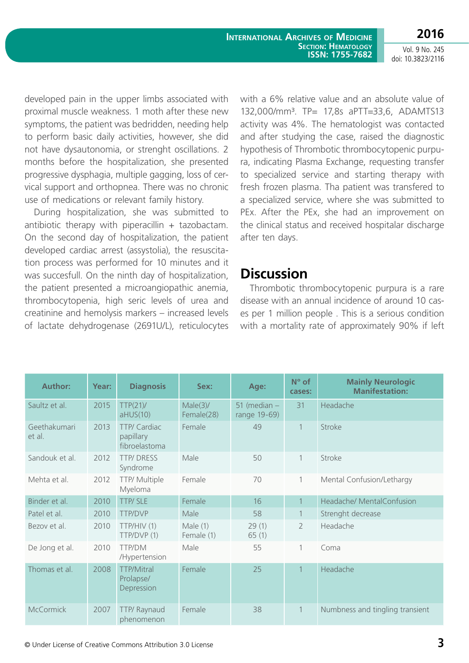**International Archives of Medicine Section: Hematology ISSN: 1755-7682**

Vol. 9 No. 245 doi: 10.3823/2116

**2016**

developed pain in the upper limbs associated with proximal muscle weakness. 1 moth after these new symptoms, the patient was bedridden, needing help to perform basic daily activities, however, she did not have dysautonomia, or strenght oscillations. 2 months before the hospitalization, she presented progressive dysphagia, multiple gagging, loss of cervical support and orthopnea. There was no chronic use of medications or relevant family history.

During hospitalization, she was submitted to antibiotic therapy with piperacillin  $+$  tazobactam. On the second day of hospitalization, the patient developed cardiac arrest (assystolia), the resuscitation process was performed for 10 minutes and it was succesfull. On the ninth day of hospitalization, the patient presented a microangiopathic anemia, thrombocytopenia, high seric levels of urea and creatinine and hemolysis markers – increased levels of lactate dehydrogenase (2691U/L), reticulocytes

with a 6% relative value and an absolute value of 132,000/mm³. TP= 17,8s aPTT=33,6, ADAMTS13 activity was 4%. The hematologist was contacted and after studying the case, raised the diagnostic hypothesis of Thrombotic thrombocytopenic purpura, indicating Plasma Exchange, requesting transfer to specialized service and starting therapy with fresh frozen plasma. Tha patient was transfered to a specialized service, where she was submitted to PEx. After the PEx, she had an improvement on the clinical status and received hospitalar discharge after ten days.

### **Discussion**

Thrombotic thrombocytopenic purpura is a rare disease with an annual incidence of around 10 cases per 1 million people . This is a serious condition with a mortality rate of approximately 90% if left

| <b>Author:</b>         | Year: | <b>Diagnosis</b>                             | Sex:                      | Age:                           | $N^{\circ}$ of<br>cases: | <b>Mainly Neurologic</b><br><b>Manifestation:</b> |
|------------------------|-------|----------------------------------------------|---------------------------|--------------------------------|--------------------------|---------------------------------------------------|
| Saultz et al.          | 2015  | TTP(21)<br>$aHU\overline{S(10)}$             | $Male(3)$ /<br>Female(28) | 51 (median $-$<br>range 19-69) | 31                       | Headache                                          |
| Geethakumari<br>et al. | 2013  | TTP/ Cardiac<br>papillary<br>fibroelastoma   | Female                    | 49                             | $\mathbf{1}$             | Stroke                                            |
| Sandouk et al.         | 2012  | <b>TTP/DRESS</b><br>Syndrome                 | Male                      | 50                             | 1                        | Stroke                                            |
| Mehta et al.           | 2012  | TTP/ Multiple<br>Myeloma                     | Female                    | 70                             | 1                        | Mental Confusion/Lethargy                         |
| Binder et al.          | 2010  | TTP/SLE                                      | Female                    | 16                             |                          | Headache/ MentalConfusion                         |
| Patel et al.           | 2010  | <b>TTP/DVP</b>                               | Male                      | 58                             | 1                        | Strenght decrease                                 |
| Bezov et al.           | 2010  | TTP/HIV (1)<br>TTP/DVP (1)                   | Male $(1)$<br>Female (1)  | 29(1)<br>65(1)                 | $\overline{2}$           | Headache                                          |
| De Jong et al.         | 2010  | TTP/DM<br>/Hypertension                      | Male                      | 55                             | 1                        | Coma                                              |
| Thomas et al.          | 2008  | <b>TTP/Mitral</b><br>Prolapse/<br>Depression | Female                    | 25                             |                          | Headache                                          |
| <b>McCormick</b>       | 2007  | TTP/ Raynaud<br>phenomenon                   | Female                    | 38                             | 1                        | Numbness and tingling transient                   |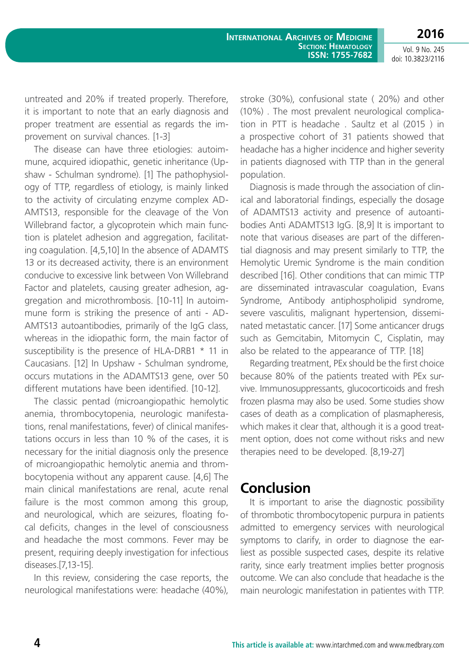**2016** Vol. 9 No. 245

doi: 10.3823/2116

untreated and 20% if treated properly. Therefore, it is important to note that an early diagnosis and proper treatment are essential as regards the improvement on survival chances. [1-3]

The disease can have three etiologies: autoimmune, acquired idiopathic, genetic inheritance (Upshaw - Schulman syndrome). [1] The pathophysiology of TTP, regardless of etiology, is mainly linked to the activity of circulating enzyme complex AD-AMTS13, responsible for the cleavage of the Von Willebrand factor, a glycoprotein which main function is platelet adhesion and aggregation, facilitating coagulation. [4,5,10] In the absence of ADAMTS 13 or its decreased activity, there is an environment conducive to excessive link between Von Willebrand Factor and platelets, causing greater adhesion, aggregation and microthrombosis. [10-11] In autoimmune form is striking the presence of anti - AD-AMTS13 autoantibodies, primarily of the IgG class, whereas in the idiopathic form, the main factor of susceptibility is the presence of HLA-DRB1  $*$  11 in Caucasians. [12] In Upshaw - Schulman syndrome, occurs mutations in the ADAMTS13 gene, over 50 different mutations have been identified. [10-12].

The classic pentad (microangiopathic hemolytic anemia, thrombocytopenia, neurologic manifestations, renal manifestations, fever) of clinical manifestations occurs in less than 10 % of the cases, it is necessary for the initial diagnosis only the presence of microangiopathic hemolytic anemia and thrombocytopenia without any apparent cause. [4,6] The main clinical manifestations are renal, acute renal failure is the most common among this group, and neurological, which are seizures, floating focal deficits, changes in the level of consciousness and headache the most commons. Fever may be present, requiring deeply investigation for infectious diseases.[7,13-15].

In this review, considering the case reports, the neurological manifestations were: headache (40%), stroke (30%), confusional state ( 20%) and other (10%) . The most prevalent neurological complication in PTT is headache . Saultz et al (2015 ) in a prospective cohort of 31 patients showed that headache has a higher incidence and higher severity in patients diagnosed with TTP than in the general population.

Diagnosis is made through the association of clinical and laboratorial findings, especially the dosage of ADAMTS13 activity and presence of autoantibodies Anti ADAMTS13 IgG. [8,9] It is important to note that various diseases are part of the differential diagnosis and may present similarly to TTP, the Hemolytic Uremic Syndrome is the main condition described [16]. Other conditions that can mimic TTP are disseminated intravascular coagulation, Evans Syndrome, Antibody antiphospholipid syndrome, severe vasculitis, malignant hypertension, disseminated metastatic cancer. [17] Some anticancer drugs such as Gemcitabin, Mitomycin C, Cisplatin, may also be related to the appearance of TTP. [18]

Regarding treatment, PEx should be the first choice because 80% of the patients treated with PEx survive. Immunosuppressants, glucocorticoids and fresh frozen plasma may also be used. Some studies show cases of death as a complication of plasmapheresis, which makes it clear that, although it is a good treatment option, does not come without risks and new therapies need to be developed. [8,19-27]

### **Conclusion**

It is important to arise the diagnostic possibility of thrombotic thrombocytopenic purpura in patients admitted to emergency services with neurological symptoms to clarify, in order to diagnose the earliest as possible suspected cases, despite its relative rarity, since early treatment implies better prognosis outcome. We can also conclude that headache is the main neurologic manifestation in patientes with TTP.